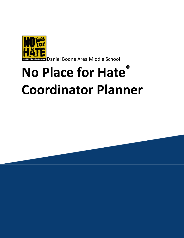

**on Program** Daniel Boone Area Middle School

# **No Place for Hate ® Coordinator Planner**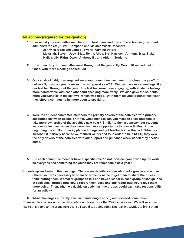#### **Reflections (required for designation)**

- **1. Please list your committee members with first name and role at the school (e.g., student, administrator, etc.)? Val Thompson and Melanie Wiest: teachers Jenny Rexrode and James Towers: Administrators Mykaliah, Steven, Joey, Eliza, Reina, Abby, Bre, Harrison, Anthony, Max, Blake, Hailey, Lily, Rithu, Owen, Anthony B., and Aiden: Students**
- **2. How often did your committee meet throughout the year? By March 16 we had met 5 times, with more meetings scheduled.**
- **3. On a scale of 1-10, how engaged were your committee members throughout the year? If below a 9, how can you increase this rating next year? 7: We can have more meetings like our last two throughout the year. The last two were more engaging, with students feeling more comfortable with each other and speaking more freely. We also gave the students more voice/choice in the last two, which was good. With them staying together next year, they should continue to be more open to speaking.**
- **4. Were the student committee members the primary drivers of the activities with primary accountability when possible? If not, what changes can you make to allow students to take more ownership of the activities next year? Similar to the last answer, our students were more involved when they were given more opportunity to plan activities. In the beginning the adults primarily planned things and got feedback after the fact. When we switched it, partially because we realized we needed to in order to be a NPFH, they were the only drivers of the activities with our support and guidance when we felt they needed some.**
- **5. Did each committee member have a specific role? If not, how can you divide up the work so everyone has something for which they are responsible next year?**
- **Students spoke freely in the meetings. There were definitely some who had a greater voice than others, so it was necessary to speak to some by name to get them to share their ideas. I think putting them in smaller groups to talk and have a leader in each group or assign jobs in each small groups (one could record their ideas and one report out) would give them more voice. Then, when we decide on activities, the groups could each take responsibility for an activity.**

**6. What challenges currently exist in maintaining a strong and focused committee?** There will be changes since the 8th graders will leave us for the 20-21 school year. We will welcome new sixth graders to the group next year,so I would say doing some icebreaker activities to bring them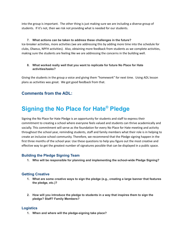into the group is important. The other thing is just making sure we are including a diverse group of students. If it's not, then we risk not providing what is needed for our students.

#### **7. What actions can be taken to address these challenges in the future?**

Ice-breaker activities, more activities (we are addressing this by adding more time into the schedule for clubs, Olweus, NPFH activities). Also, obtaining more feedback from students as we complete activities, making sure the students are feeling like we are addressing the concerns in the building well.

#### **8. What worked really well that you want to replicate for future No Place for Hate activities/tasks?**

Giving the students in the group a voice and giving them "homework" for next time. Using ADL lesson plans as activities was great. We got good feedback from that.

### **Comments from the ADL:**

# **Signing the No Place for Hate ® Pledge**

Signing the No Place for Hate Pledge is an opportunity for students and staff to express their commitment to creating a school where everyone feels valued and students can thrive academically and socially. This commitment will serve as the foundation for every No Place for Hate meeting and activity throughout the school year, reminding students, staff and family members what their role is in helping to create an inclusive school community. Therefore, we recommend that the Pledge signing happen in the first three months of the school year. Use these questions to help you figure out the most creative and effective way to get the greatest number of signatures possible that can be displayed in a public space.

#### **Building the Pledge Signing Team**

**1. Who will be responsible for planning and implementing the school-wide Pledge Signing?**

#### **Getting Creative**

- **1. What are some creative ways to sign the pledge (e.g., creating a large banner that features the pledge, etc.)?**
- **2. How will you introduce the pledge to students in a way that inspires them to sign the pledge? Staff? Family Members?**

#### **Logistics**

**1. When and where will the pledge-signing take place?**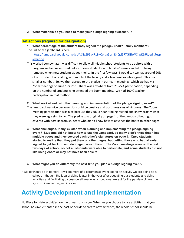**2. What materials do you need to make your pledge signing successful?**

#### **Reflections (required for designation)**

**1. What percentage of the student body signed the pledge? Staff? Family members?** The link to the jamboard is here

[https://jamboard.google.com/d/1YqSSxZP5g4RLBxCprbx5br\\_R4Qci5F7GjSbWC\\_pK19U/edit?usp](https://jamboard.google.com/d/1YqSSxZP5g4RLBxCprbx5br_R4Qci5F7GjSbWC_pK19U/edit?usp=sharing) [=sharing](https://jamboard.google.com/d/1YqSSxZP5g4RLBxCprbx5br_R4Qci5F7GjSbWC_pK19U/edit?usp=sharing)

- This worked somewhat; it was difficult to allow all middle school students to be editors with a program we had never used before. Some students' and families' names ended up being removed when new students added theirs. In the first few days, I would say we had around 20% of our student body, along with much of the faculty and a few families who signed. This is a smaller number. So, we then agreed to the pledge in our team meetings, which we had via Zoom meetings on June 1 or 2nd. There was anywhere from 25-75% participation, depending on the number of students who attended the Zoom meeting. We had 100% teacher participation in that method.
- **2. What worked well with the planning and implementation of the pledge signing event?** The jamboard was nice because kids could be creative and post messages of kindness. The Zoom meeting participation was nice because they could hear it being recited and know exactly what they were agreeing to do. The pledge was originally on page 1 of the Jamboard but it got covered with post-its from students who didn't know how to advance the board to other pages.
- **3. What challenges, if any, existed when planning and implementing the pledge signing event? Students did not know how to use the Jamboard, so many didn't know that it had multiple pages and they covered each other's signatures on page 1. Once students started to realize that, they put them on other pages, but getting those who had already signed to get back on and do it again was difficult. The Zoom meetings were on the last two days of school, so not all students were able to participate, and some students did not like using Zoom or may not have been able to.**
- **4. What might you do differently the next time you plan a pledge signing event?**

It will definitely be in person! It will be more of a ceremonial event tied to an activity we are doing as a school. I thought the idea of doing it later in the year after educating our students and doing activities and facilitating discussion all year was a good one, except for the pandemic! We may try to do it earlier on, just in case!

# **Activity Development and Implementation**

No Place for Hate activities are the drivers of change. Whether you choose to use activities that your school has implemented in the past or decide to create new activities, the whole school should be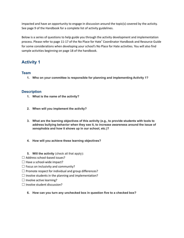impacted and have an opportunity to engage in discussion around the topic(s) covered by the activity. See page 9 of the Handbook for a complete list of activity guidelines.

Below is a series of questions to help guide you through the activity development and implementation process. Please refer to page 11-17 of the No Place for Hate ® Coordinator Handbook and Resource Guide for some considerations when developing your school's No Place for Hate activities. You will also find sample activities beginning on page 18 of the handbook.

## **Activity 1**

#### **Team**

**1. Who on your committee is responsible for planning and implementing Activity 1?**

#### **Description**

- **1. What is the name of the activity?**
- **2. When will you implement the activity?**
- **3. What are the learning objectives of this activity (e.g., to provide students with tools to address bullying behavior when they see it, to increase awareness around the issue of xenophobia and how it shows up in our school, etc.)?**
- **4. How will you achieve these learning objectives?**
- **5. Will the activity** (check all that apply)**:**
- $\Box$  Address school-based issues?
- $\Box$  Have a school-wide impact?
- $\Box$  Focus on inclusivity and community?
- $\Box$  Promote respect for individual and group differences?
- $\Box$  Involve students in the planning and implementation?
- $\Box$  Involve active learning?
- $\Box$  Involve student discussion?
	- **6. How can you turn any unchecked box in question five to a checked box?**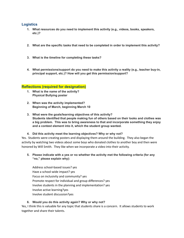#### **Logistics**

- **1. What resources do you need to implement this activity (e.g., videos, books, speakers, etc.)?**
- **2. What are the specific tasks that need to be completed in order to implement this activity?**
- **3. What is the timeline for completing these tasks?**
- **4. What permissions/support do you need to make this activity a reality (e.g., teacher buy-in, principal support, etc.)? How will you get this permission/support?**

#### **Reflections (required for designation)**

- **1. What is the name of the activity? Physical Bullying poster**
- **2. When was the activity implemented? Beginning of March, beginning March 10**
- **3. What were the goals/learning objectives of this activity? Students identified that people making fun of others based on their looks and clothes was a big problem. This was to bring awareness to that and incorporate something they enjoy and a contest element into it, which the student group wanted.**

**4. Did this activity meet the learning objectives? Why or why not?**

Yes. Students were creating posters and displaying them around the building. They also began the activity by watching two videos about some boys who donated clothes to another boy and then were honored by Will Smith. They like when we incorporate a video into their activity.

**5. Please indicate with a yes or no whether the activity met the following criteria (for any "no," please explain why):**

Address school-based issues? yes Have a school-wide impact? yes Focus on inclusivity and community? yes Promote respect for individual and group differences? yes Involve students in the planning and implementation? yes Involve active learning?yes Involve student discussion?yes

#### **6. Would you do this activity again? Why or why not?**

Yes, I think this is valuable for any topic that students share is a concern. It allows students to work together and share their talents.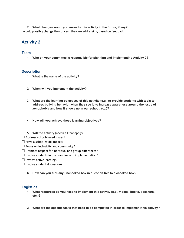**7. What changes would you make to this activity in the future, if any?** I would possibly change the concern they are addressing, based on feedback

### **Activity 2**

#### **Team**

**1. Who on your committee is responsible for planning and implementing Activity 2?**

#### **Description**

- **1. What is the name of the activity?**
- **2. When will you implement the activity?**
- **3. What are the learning objectives of this activity (e.g., to provide students with tools to address bullying behavior when they see it, to increase awareness around the issue of xenophobia and how it shows up in our school, etc.)?**
- **4. How will you achieve these learning objectives?**
- **5. Will the activity** (check all that apply):
- $\Box$  Address school-based issues?
- $\Box$  Have a school-wide impact?
- $\Box$  Focus on inclusivity and community?
- $\Box$  Promote respect for individual and group differences?
- $\Box$  Involve students in the planning and implementation?
- $\Box$  Involve active learning?
- ☐ Involve student discussion?
	- **6. How can you turn any unchecked box in question five to a checked box?**

#### **Logistics**

- **1. What resources do you need to implement this activity (e.g., videos, books, speakers, etc.)?**
- **2. What are the specific tasks that need to be completed in order to implement this activity?**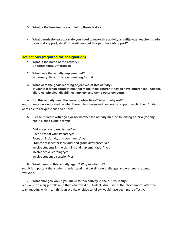- **3. What is the timeline for completing these tasks?**
- **4. What permissions/support do you need to make this activity a reality (e.g., teacher buy-in, principal support, etc.)? How will you get this permission/support?**

#### **Reflections (required for designation)**

- **1. What is the name of the activity? Understanding Differences**
- **2. When was the activity implemented? In January, through a team meeting format**
- **3. What were the goals/learning objectives of this activity? Students learned about things that made them different-they all have differences. Autism, allergies, physical disabilities, anxiety, and some other concerns.**
- **4. Did this activity meet the learning objectives? Why or why not?**

Yes, students were educated on what these things mean and how we can support each other. Students were able to ask questions and discuss.

**5. Please indicate with a yes or no whether the activity met the following criteria (for any "no," please explain why):**

Address school-based issues? Yes Have a school-wide impact?yes Focus on inclusivity and community? yes Promote respect for individual and group differences?yes Involve students in the planning and implementation? yes Involve active learning?yes Involve student discussion?yes

#### **6. Would you do this activity again? Why or why not?**

Yes. It is important that students understand that we all have challenges and we need to accept everyone.

**7. What changes would you make to this activity in the future, if any?** We would do a bigger follow-up than what we did. Students discussed in their homerooms after the team meeting with me. I think an activity or video to follow would have been more effective.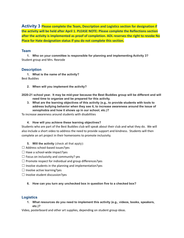**Activity 3 Please complete the Team, Description and Logistics section for designation if the activity will be held after April 1. PLEASE NOTE: Please complete the Reflections section after the activity is implemented as proof of completion. ADL reserves the right to revoke No Place for Hate designation status if you do not complete this section.**

#### **Team**

**1. Who on your committee is responsible for planning and implementing Activity 3?** Student group and Mrs. Rexrode

#### **Description**

**1. What is the name of the activity?** Best Buddies

**2. When will you implement the activity?**

**2020-21 school year. It may be mid-year because the Best Buddies group will be different and will need time to organize and be prepared for this activity.**

**3. What are the learning objectives of this activity (e.g., to provide students with tools to address bullying behavior when they see it, to increase awareness around the issue of xenophobia and how it shows up in our school, etc.)?**

To increase awareness around students with disabilities

**4. How will you achieve these learning objectives?**

Students who are part of the Best Buddies club will speak about their club and what they do. We will also include a short video to address the need to provide support and kindness. Students will then complete an art project in their homerooms to promote inclusivity.

- **5. Will the activity** (check all that apply)**:**
- $\Box$  Address school-based issues?yes
- $\Box$  Have a school-wide impact?yes
- $\Box$  Focus on inclusivity and community? yes
- $\Box$  Promote respect for individual and group differences?yes
- $\Box$  Involve students in the planning and implementation?yes
- $\Box$  Involve active learning?yes
- $\Box$  Involve student discussion?yes

#### **6. How can you turn any unchecked box in question five to a checked box?**

#### **Logistics**

**1. What resources do you need to implement this activity (e.g., videos, books, speakers, etc.)?**

Video, posterboard and other art supplies, depending on student group ideas.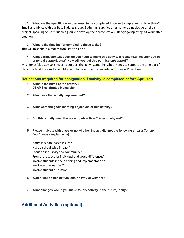**2. What are the specific tasks that need to be completed in order to implement this activity?** Small assemblies with our Best Buddies group, Gather art supplies after homerooms decide on their project, speaking to Best Buddies group to develop their presentation. Hanging/displaying art work after creation.

# **3. What is the timeline for completing these tasks?**

This will take about a month from start to finish

**4. What permissions/support do you need to make this activity a reality (e.g., teacher buy-in, principal support, etc.)? How will you get this permission/support?**

Mrs. Bentz (club advisor) needs to support the activity, and the school needs to support the time out of class to attend the small assemblies and to have time to complete in 8th period/club time.

**Reflections (required for designation if activity is completed before April 1st)**

- **1. What is the name of the activity? DBAMS celebrates inclusivity**
- **2. When was the activity implemented?**
- **3. What were the goals/learning objectives of this activity?**
- **4. Did this activity meet the learning objectives? Why or why not?**
- **5. Please indicate with a yes or no whether the activity met the following criteria (for any "no," please explain why):**

Address school-based issues? Have a school-wide impact? Focus on inclusivity and community? Promote respect for individual and group differences? Involve students in the planning and implementation? Involve active learning? Involve student discussion?

- **6. Would you do this activity again? Why or why not?**
- **7. What changes would you make to this activity in the future, if any?**

## **Additional Activities (optional)**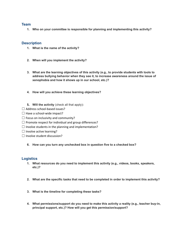#### **Team**

**1. Who on your committee is responsible for planning and implementing this activity?**

#### **Description**

- **1. What is the name of the activity?**
- **2. When will you implement the activity?**
- **3. What are the learning objectives of this activity (e.g., to provide students with tools to address bullying behavior when they see it, to increase awareness around the issue of xenophobia and how it shows up in our school, etc.)?**
- **4. How will you achieve these learning objectives?**
- **5. Will the activity** (check all that apply)**:**
- $\Box$  Address school-based issues?
- $\Box$  Have a school-wide impact?
- $\Box$  Focus on inclusivity and community?
- $\Box$  Promote respect for individual and group differences?
- $\Box$  Involve students in the planning and implementation?
- $\Box$  Involve active learning?
- $\Box$  Involve student discussion?
	- **6. How can you turn any unchecked box in question five to a checked box?**

#### **Logistics**

- **1. What resources do you need to implement this activity (e.g., videos, books, speakers, etc.)?**
- **2. What are the specific tasks that need to be completed in order to implement this activity?**
- **3. What is the timeline for completing these tasks?**
- **4. What permissions/support do you need to make this activity a reality (e.g., teacher buy-in, principal support, etc.)? How will you get this permission/support?**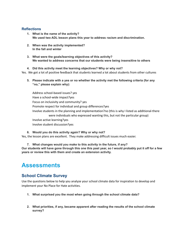#### **Reflections**

- **1. What is the name of the activity? We used two ADL lesson plans this year to address racism and discrimination.**
- **2. When was the activity implemented? In the fall and winter**
- **3. What were the goals/learning objectives of this activity? We wanted to address concerns that our students were being insensitive to others**

**4. Did this activity meet the learning objectives? Why or why not?** Yes. We got a lot of positive feedback that students learned a lot about students from other cultures

**5. Please indicate with a yes or no whether the activity met the following criteria (for any "no," please explain why):**

Address school-based issues? yes Have a school-wide impact?yes Focus on inclusivity and community? yes Promote respect for individual and group differences?yes Involve students in the planning and implementation?no (this is why I listed as additional-there were individuals who expressed wanting this, but not the particular group) Involve active learning?yes Involve student discussion?yes

**6. Would you do this activity again? Why or why not?** Yes, the lesson plans are excellent. They make addressing difficult issues much easier.

**7. What changes would you make to this activity in the future, if any?** Our students will have gone through this one this past year, so I would probably put it off for a few **years or review this with them and create an extension activity.**

# **Assessments**

### **School Climate Survey**

Use the questions below to help you analyze your school climate data for inspiration to develop and implement your No Place for Hate activities.

- **1. What surprised you the most when going through the school climate data?**
- **2. What priorities, if any, became apparent after reading the results of the school climate survey?**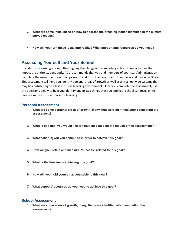- **3. What are some initial ideas on how to address the pressing issues identified in the climate survey results?**
- **4. How will you turn these ideas into reality? What support and resources do you need?**

### **Assessing Yourself and Your School**

In addition to forming a committee, signing the pledge and completing at least three activities that impact the entire student body, ADL recommends that you and members of your staff/administration complete the assessment found on pages 30 and 31 of the Coordinator Handbook and Resource Guide. This assessment will help you identify personal areas of growth as well as any schoolwide systems that may be contributing to a less inclusive learning environment. Once you complete the assessment, use the questions below to help you identify one or two things that you and your school can focus on to create a more inclusive space for learning.

#### **Personal Assessment**

- **1. What are some personal areas of growth, if any, that were identified after completing the assessment?**
- **2. What is one goal you would like to focus on based on the results of the assessment?**
- **3. What action(s) will you commit to in order to achieve this goal?**
- **4. How will you define and measure "success" related to this goal?**
- **5. What is the timeline in achieving this goal?**
- **6. How will you hold yourself accountable to this goal?**
- **7. What support/resources do you need to achieve this goal?**

#### **School Assessment**

**1. What are some areas of growth, if any, that were identified after completing the assessment?**